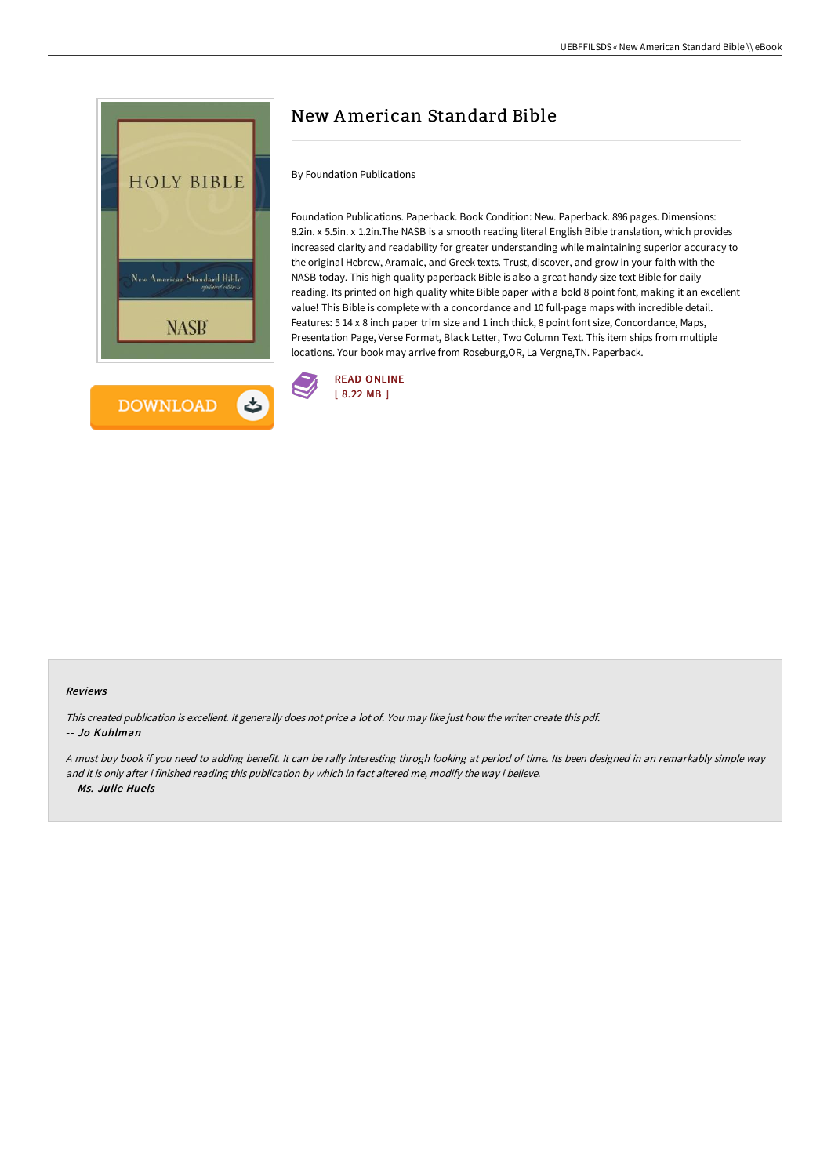

# New American Standard Bible

### By Foundation Publications

Foundation Publications. Paperback. Book Condition: New. Paperback. 896 pages. Dimensions: 8.2in. x 5.5in. x 1.2in.The NASB is a smooth reading literal English Bible translation, which provides increased clarity and readability for greater understanding while maintaining superior accuracy to the original Hebrew, Aramaic, and Greek texts. Trust, discover, and grow in your faith with the NASB today. This high quality paperback Bible is also a great handy size text Bible for daily reading. Its printed on high quality white Bible paper with a bold 8 point font, making it an excellent value! This Bible is complete with a concordance and 10 full-page maps with incredible detail. Features: 5 14 x 8 inch paper trim size and 1 inch thick, 8 point font size, Concordance, Maps, Presentation Page, Verse Format, Black Letter, Two Column Text. This item ships from multiple locations. Your book may arrive from Roseburg,OR, La Vergne,TN. Paperback.



#### Reviews

This created publication is excellent. It generally does not price <sup>a</sup> lot of. You may like just how the writer create this pdf. -- Jo Kuhlman

<sup>A</sup> must buy book if you need to adding benefit. It can be rally interesting throgh looking at period of time. Its been designed in an remarkably simple way and it is only after i finished reading this publication by which in fact altered me, modify the way i believe. -- Ms. Julie Huels